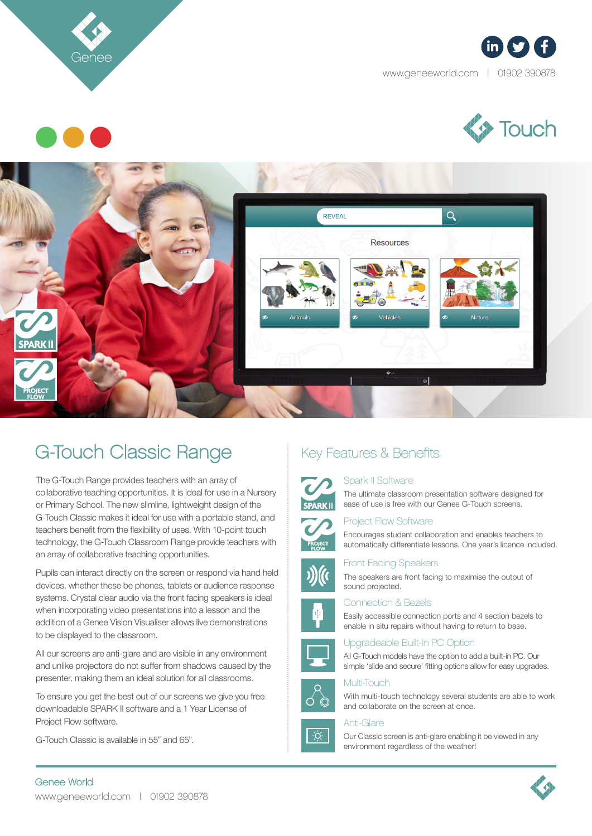

 $in$   $\mathcal{F}$   $\mathcal{F}$ 

www.geneeworld.com | 01902 390878







# G-Touch Classic Range

The G-Touch Range provides teachers with an array of collaborative teaching opportunities. It is ideal for use in a Nursery or Primary School. The new slimline, lightweight design of the G-Touch Classic makes it ideal for use with a portable stand, and teachers benefit from the flexibility of uses. With 10-point touch technology, the G-Touch Classroom Range provide teachers with an array of collaborative teaching opportunities.

Pupils can interact directly on the screen or respond via hand held devices, whether these be phones, tablets or audience response systems. Crystal clear audio via the front facing speakers is ideal when incorporating video presentations into a lesson and the addition of a Genee Vision Visualiser allows live demonstrations to be displayed to the classroom.

All our screens are anti-glare and are visible in any environment and unlike projectors do not suffer from shadows caused by the presenter, making them an ideal solution for all classrooms.

To ensure you get the best out of our screens we give you free downloadable SPARK II software and a 1 Year License of Project Flow software.

G-Touch Classic is available in 55" and 65".

# Key Features & Benefits



## Spark II Software

The ultimate classroom presentation software designed for ease of use is free with our Genee G-Touch screens.

## Project Flow Software

Encourages student collaboration and enables teachers to automatically differentiate lessons. One year's licence included.



#### Front Facing Speakers

The speakers are front facing to maximise the output of sound projected.

#### Connection & Bezels



Easily accessible connection ports and 4 section bezels to enable in situ repairs without having to return to base.





All G-Touch models have the option to add a built-in PC. Our simple 'slide and secure' fitting options allow for easy upgrades.

#### Multi-Touch



#### Anti-Glare



Our Classic screen is anti-glare enabling it be viewed in any environment regardless of the weather!